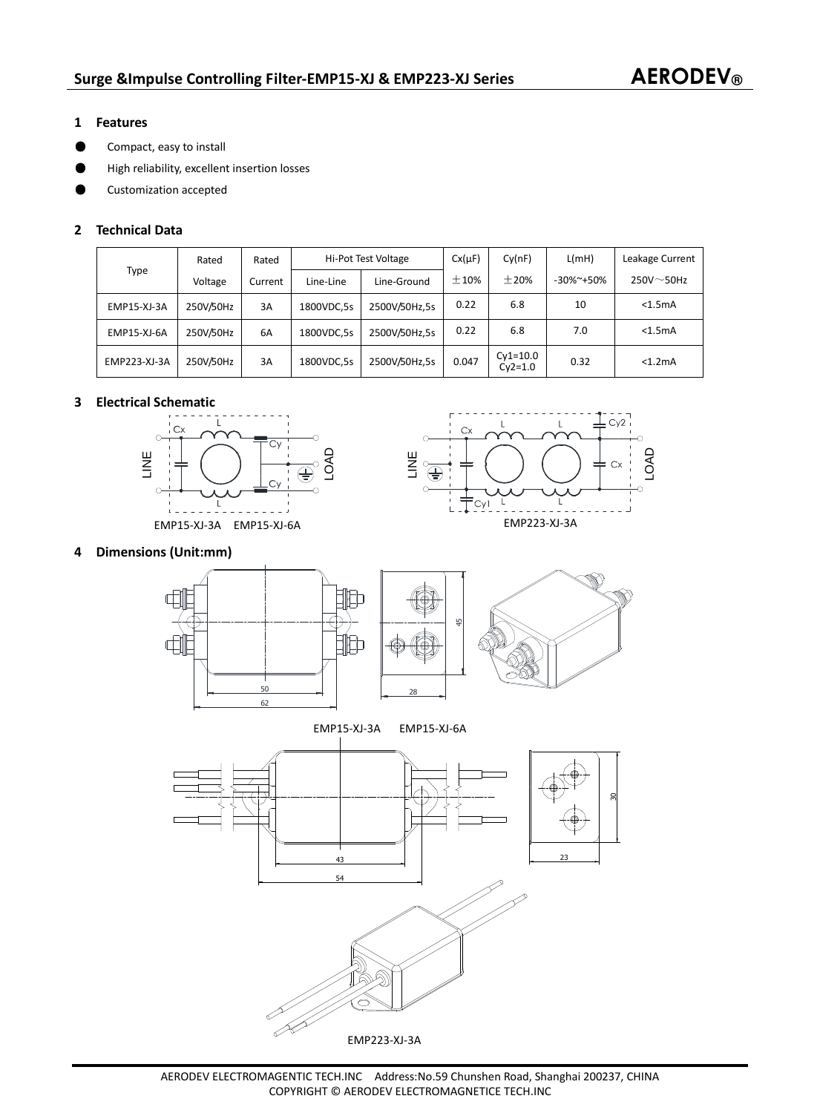### **1 Features**

- **Compact, easy to install**
- ƽ High reliability, excellent insertion losses
- ƽ Customization accepted

## **2 Technical Data**

| Type         | Rated     | Rated   | Hi-Pot Test Voltage |               | $Cx(\mu F)$ | Cy(nF)                  | L(mH)           | Leakage Current  |
|--------------|-----------|---------|---------------------|---------------|-------------|-------------------------|-----------------|------------------|
|              | Voltage   | Current | Line-Line           | Line-Ground   | ±10%        | $+20%$                  | $-30\%$ $+50\%$ | $250V \sim 50Hz$ |
| EMP15-XJ-3A  | 250V/50Hz | 3A      | 1800VDC,5s          | 2500V/50Hz.5s | 0.22        | 6.8                     | 10              | < 1.5mA          |
| EMP15-XJ-6A  | 250V/50Hz | 6A      | 1800VDC,5s          | 2500V/50Hz.5s | 0.22        | 6.8                     | 7.0             | < 1.5mA          |
| EMP223-XJ-3A | 250V/50Hz | 3A      | 1800VDC,5s          | 2500V/50Hz,5s | 0.047       | $Cy1=10.0$<br>$Cv2=1.0$ | 0.32            | < 1.2mA          |

# **3 Electrical Schematic**





### **4 Dimensions (Unit:mm)**